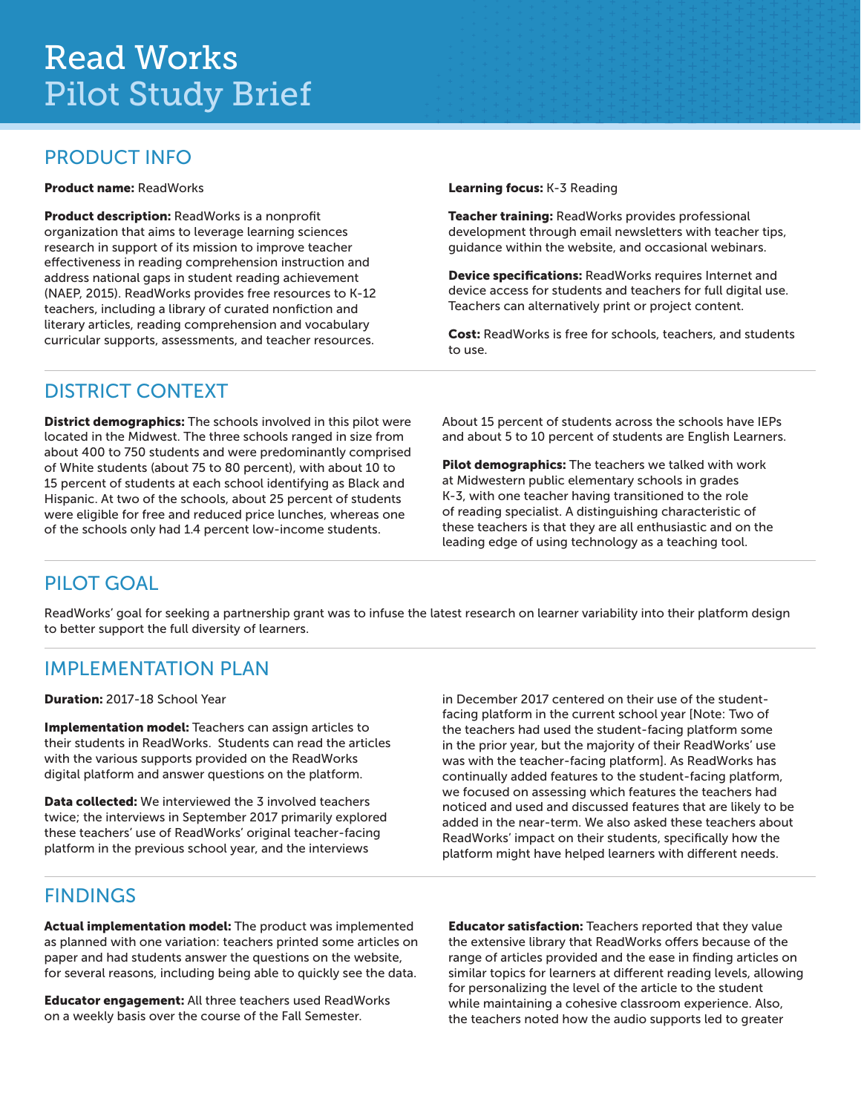# Read Works Pilot Study Brief

## PRODUCT INFO

Product name: ReadWorks

Product description: ReadWorks is a nonprofit organization that aims to leverage learning sciences research in support of its mission to improve teacher effectiveness in reading comprehension instruction and address national gaps in student reading achievement (NAEP, 2015). ReadWorks provides free resources to K-12 teachers, including a library of curated nonfiction and literary articles, reading comprehension and vocabulary curricular supports, assessments, and teacher resources.

#### Learning focus: K-3 Reading

Teacher training: ReadWorks provides professional development through email newsletters with teacher tips, guidance within the website, and occasional webinars.

Device specifications: ReadWorks requires Internet and device access for students and teachers for full digital use. Teachers can alternatively print or project content.

Cost: ReadWorks is free for schools, teachers, and students to use.

# DISTRICT CONTEXT

**District demographics:** The schools involved in this pilot were located in the Midwest. The three schools ranged in size from about 400 to 750 students and were predominantly comprised of White students (about 75 to 80 percent), with about 10 to 15 percent of students at each school identifying as Black and Hispanic. At two of the schools, about 25 percent of students were eligible for free and reduced price lunches, whereas one of the schools only had 1.4 percent low-income students.

About 15 percent of students across the schools have IEPs and about 5 to 10 percent of students are English Learners.

Pilot demographics: The teachers we talked with work at Midwestern public elementary schools in grades K-3, with one teacher having transitioned to the role of reading specialist. A distinguishing characteristic of these teachers is that they are all enthusiastic and on the leading edge of using technology as a teaching tool.

# PILOT GOAL

ReadWorks' goal for seeking a partnership grant was to infuse the latest research on learner variability into their platform design to better support the full diversity of learners.

# IMPI FMFNTATION PI AN

Duration: 2017-18 School Year

Implementation model: Teachers can assign articles to their students in ReadWorks. Students can read the articles with the various supports provided on the ReadWorks digital platform and answer questions on the platform.

**Data collected:** We interviewed the 3 involved teachers twice; the interviews in September 2017 primarily explored these teachers' use of ReadWorks' original teacher-facing platform in the previous school year, and the interviews

in December 2017 centered on their use of the studentfacing platform in the current school year [Note: Two of the teachers had used the student-facing platform some in the prior year, but the majority of their ReadWorks' use was with the teacher-facing platform]. As ReadWorks has continually added features to the student-facing platform, we focused on assessing which features the teachers had noticed and used and discussed features that are likely to be added in the near-term. We also asked these teachers about ReadWorks' impact on their students, specifically how the platform might have helped learners with different needs.

#### FINDINGS

Actual implementation model: The product was implemented as planned with one variation: teachers printed some articles on paper and had students answer the questions on the website, for several reasons, including being able to quickly see the data.

**Educator engagement:** All three teachers used ReadWorks on a weekly basis over the course of the Fall Semester.

**Educator satisfaction:** Teachers reported that they value the extensive library that ReadWorks offers because of the range of articles provided and the ease in finding articles on similar topics for learners at different reading levels, allowing for personalizing the level of the article to the student while maintaining a cohesive classroom experience. Also, the teachers noted how the audio supports led to greater